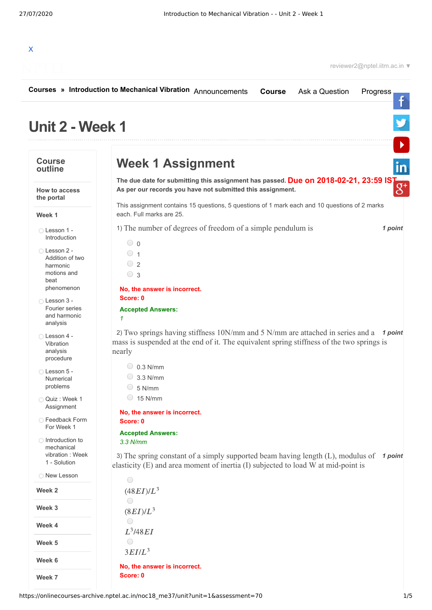

|                                                                    | Courses » Introduction to Mechanical Vibration Announcements<br>Ask a Question<br><b>Course</b><br>Progress                                                                                                 |
|--------------------------------------------------------------------|-------------------------------------------------------------------------------------------------------------------------------------------------------------------------------------------------------------|
| <b>Unit 2 - Week 1</b>                                             |                                                                                                                                                                                                             |
| <b>Course</b><br>outline                                           | <b>Week 1 Assignment</b>                                                                                                                                                                                    |
| <b>How to access</b><br>the portal                                 | The due date for submitting this assignment has passed. Due on 2018-02-21, 23:59 IST<br>As per our records you have not submitted this assignment.                                                          |
| Week 1                                                             | This assignment contains 15 questions, 5 questions of 1 mark each and 10 questions of 2 marks<br>each. Full marks are 25.                                                                                   |
| ◯ Lesson 1 -<br>Introduction                                       | 1) The number of degrees of freedom of a simple pendulum is<br>1 point<br>$\circ$ 0                                                                                                                         |
| ◯ Lesson 2 -<br>Addition of two<br>harmonic<br>motions and<br>beat | $\circ$ 1<br>$\degree$ 2<br>$\circ$ 3                                                                                                                                                                       |
| phenomenon                                                         | No, the answer is incorrect.                                                                                                                                                                                |
| ◯ Lesson 3 -<br>Fourier series<br>and harmonic<br>analysis         | Score: 0<br><b>Accepted Answers:</b><br>1                                                                                                                                                                   |
| Lesson 4 -<br>Vibration<br>analysis<br>procedure                   | 2) Two springs having stiffness 10N/mm and 5 N/mm are attached in series and a $\rightarrow$ 1 point<br>mass is suspended at the end of it. The equivalent spring stiffness of the two springs is<br>nearly |
| ◯ Lesson 5 -<br><b>Numerical</b><br>problems                       | $\bigcirc$ 0.3 N/mm<br>$\circ$ 3.3 N/mm<br>5 N/mm                                                                                                                                                           |
| O Quiz : Week 1<br>Assignment                                      | 15 N/mm                                                                                                                                                                                                     |
| ◯ Feedback Form                                                    | No, the answer is incorrect.<br>Score: 0                                                                                                                                                                    |
| For Week 1                                                         | <b>Accepted Answers:</b>                                                                                                                                                                                    |
| ◯ Introduction to<br>mechanical<br>vibration: Week<br>1 - Solution | $3.3$ N/mm<br>3) The spring constant of a simply supported beam having length (L), modulus of<br>1 point<br>elasticity (E) and area moment of inertia (I) subjected to load W at mid-point is               |
| <b>New Lesson</b>                                                  | $\bigcirc$                                                                                                                                                                                                  |
| Week 2                                                             | $(48EI)/L^3$                                                                                                                                                                                                |
| Week 3                                                             | ◯<br>$(8EI)/L^3$                                                                                                                                                                                            |
| Week 4                                                             | $\bigcirc$<br>$L^3$ /48 $EI$                                                                                                                                                                                |
| Week 5                                                             | ○                                                                                                                                                                                                           |
| Week 6                                                             | $3EIIL^3$                                                                                                                                                                                                   |
| Week 7                                                             | No, the answer is incorrect.<br>Score: 0                                                                                                                                                                    |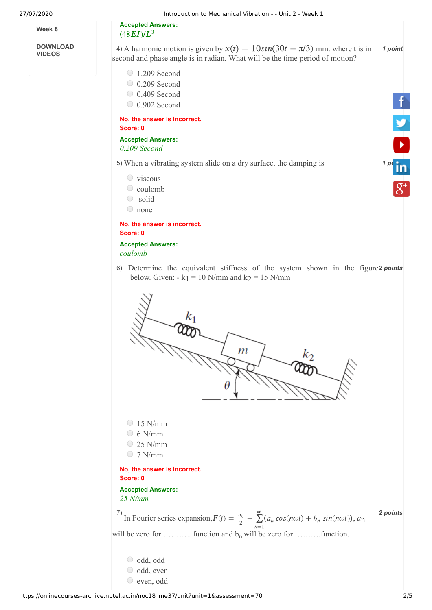**Week 8**

**DOWNLOAD VIDEOS**

**Accepted Answers:**

 $(48EI)/L^3$ 

4) A harmonic motion is given by  $x(t) = 10\sin(30t - \pi/3)$  mm. where t is in **1 point** second and phase angle is in radian. What will be the time period of motion?

1.209 Second

- 0.209 Second
- 0.409 Second
- 0.902 Second

**No, the answer is incorrect. Score: 0**

**Accepted Answers:** *0.209 Second*

5) When a vibrating system slide on a dry surface, the damping is **1 [point](https://www.linkedin.com/company/nptel/) 1 point** 

- $\circ$  viscous
- $\circ$  coulomb
- solid
- none

**No, the answer is incorrect. Score: 0**

**Accepted Answers:** *coulomb*

6) Determine the equivalent stiffness of the system shown in the figure2 points below. Given:  $-k_1 = 10$  N/mm and  $k_2 = 15$  N/mm



- odd, odd odd, even
- even, odd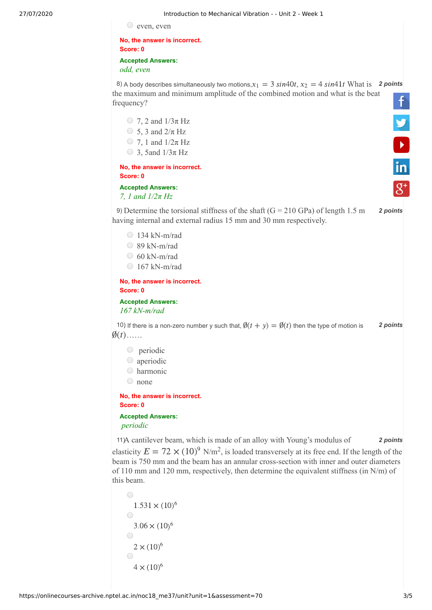$\circ$  even, even

**No, the answer is incorrect. Score: 0 Accepted Answers:**

*odd, even* 

8) A body describes simultaneously two motions,  $x_1 = 3 \sin 40t$ ,  $x_2 = 4 \sin 41t$  What is 2 points the maximum and minimum amplitude of the combined motion and what is the beat f<br>**y**<br>in frequency?

 $\bigcirc$  7, 2 and  $1/3\pi$  Hz  $\circ$  5, 3 and  $2/\pi$  Hz  $\bigcirc$  7, 1 and  $1/2\pi$  Hz  $\bigcirc$  3, 5and  $1/3\pi$  Hz **No, the answer is incorrect. Score: 0**

## **Accepted Answers:** *7, 1 and 1/2π Hz*

9) Determine the torsional stiffness of the shaft  $(G = 210 \text{ GPa})$  of length 1.5 m **2 points** having internal and external radius 15 mm and 30 mm respectively.

- 134 kN-m/rad
- 89 kN-m/rad
- $\circ$  60 kN-m/rad
- $\bigcirc$  167 kN-m/rad

**No, the answer is incorrect. Score: 0**

**Accepted Answers:** *167 kN-m/rad*

10) If there is a non-zero number y such that,  $\emptyset(t + y) = \emptyset(t)$  then the type of motion is 2 points  $\emptyset(t)$ ......

- periodic
- aperiodic
- harmonic
- none

**No, the answer is incorrect. Score: 0**

**Accepted Answers:**  *periodic* 

11) A cantilever beam, which is made of an alloy with Young's modulus of **2 points** 

elasticity  $E = 72 \times (10)^9$  N/m<sup>2</sup>, is loaded transversely at its free end. If the length of the beam is 750 mm and the beam has an annular cross-section with inner and outer diameters of 110 mm and 120 mm, respectively, then determine the equivalent stiffness (in N/m) of this beam.

```
\bigcirc1.531 \times (10)^6\bigcirc3.06 \times (10)^6\bigcirc2 \times (10)^6\bigcirc4 \times (10)^6
```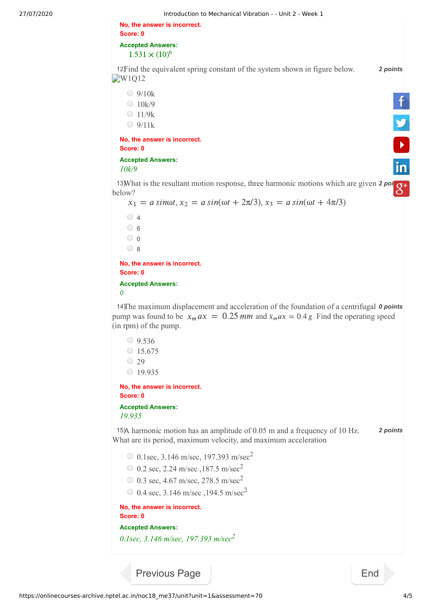| Score: 0<br><b>Accepted Answers:</b><br>$1.531 \times (10)^6$<br>12 Find the equivalent spring constant of the system shown in figure below.<br>W1Q12<br>$\bigcirc$ 9/10k<br>9/10k<br>10k/9<br>11/9k<br>9/11k<br>No, the answer is incorrect.<br>Score: 0<br>Accepted Answers:<br>10k/9<br>13What is the resultant motion response, three harmonic motions which are given 2 points<br>below?<br>$x_1 = a \sin \omega t$ , $x_2 = a \sin(\omega t + 2\pi/3)$ , $x_3 = a \sin(\omega t + 4\pi/3)$<br>$\circ$ 4<br>$\circ$ 6<br>$\circ$ 0<br>$\circ$ 8<br>No, the answer is incorrect.<br>Score: 0<br><b>Accepted Answers:</b><br>0<br>14) The maximum displacement and acceleration of the foundation of a centrifugal 0 points<br>pump was found to be $x_m a x = 0.25$ mm and $\ddot{x}_m a x = 0.4$ g. Find the operating speed<br>(in rpm) of the pump.<br>$\circ$ 9.536<br>$\circ$ 15.675<br>$\degree$ 29<br>$\circ$ 19.935<br>No, the answer is incorrect.<br>Score: 0<br><b>Accepted Answers:</b><br>19.935<br>15)A harmonic motion has an amplitude of 0.05 m and a frequency of 10 Hz.<br>What are its period, maximum velocity, and maximum acceleration<br>0 0.1sec, 3.146 m/sec, 197.393 m/sec <sup>2</sup><br>0 0.2 sec, 2.24 m/sec, 187.5 m/sec <sup>2</sup><br>0 0.3 sec, 4.67 m/sec, 278.5 m/sec <sup>2</sup><br>0 0.4 sec, 3.146 m/sec, 194.5 m/sec <sup>2</sup><br>No, the answer is incorrect.<br>Score: 0<br><b>Accepted Answers:</b><br>0.1sec, 3.146 m/sec, 197.393 m/sec <sup>2</sup><br><b>Previous Page</b><br>End |          |
|--------------------------------------------------------------------------------------------------------------------------------------------------------------------------------------------------------------------------------------------------------------------------------------------------------------------------------------------------------------------------------------------------------------------------------------------------------------------------------------------------------------------------------------------------------------------------------------------------------------------------------------------------------------------------------------------------------------------------------------------------------------------------------------------------------------------------------------------------------------------------------------------------------------------------------------------------------------------------------------------------------------------------------------------------------------------------------------------------------------------------------------------------------------------------------------------------------------------------------------------------------------------------------------------------------------------------------------------------------------------------------------------------------------------------------------------------------------------------------------------------------------------------------------------|----------|
|                                                                                                                                                                                                                                                                                                                                                                                                                                                                                                                                                                                                                                                                                                                                                                                                                                                                                                                                                                                                                                                                                                                                                                                                                                                                                                                                                                                                                                                                                                                                            |          |
|                                                                                                                                                                                                                                                                                                                                                                                                                                                                                                                                                                                                                                                                                                                                                                                                                                                                                                                                                                                                                                                                                                                                                                                                                                                                                                                                                                                                                                                                                                                                            |          |
|                                                                                                                                                                                                                                                                                                                                                                                                                                                                                                                                                                                                                                                                                                                                                                                                                                                                                                                                                                                                                                                                                                                                                                                                                                                                                                                                                                                                                                                                                                                                            | 2 points |
|                                                                                                                                                                                                                                                                                                                                                                                                                                                                                                                                                                                                                                                                                                                                                                                                                                                                                                                                                                                                                                                                                                                                                                                                                                                                                                                                                                                                                                                                                                                                            |          |
|                                                                                                                                                                                                                                                                                                                                                                                                                                                                                                                                                                                                                                                                                                                                                                                                                                                                                                                                                                                                                                                                                                                                                                                                                                                                                                                                                                                                                                                                                                                                            |          |
|                                                                                                                                                                                                                                                                                                                                                                                                                                                                                                                                                                                                                                                                                                                                                                                                                                                                                                                                                                                                                                                                                                                                                                                                                                                                                                                                                                                                                                                                                                                                            |          |
|                                                                                                                                                                                                                                                                                                                                                                                                                                                                                                                                                                                                                                                                                                                                                                                                                                                                                                                                                                                                                                                                                                                                                                                                                                                                                                                                                                                                                                                                                                                                            |          |
|                                                                                                                                                                                                                                                                                                                                                                                                                                                                                                                                                                                                                                                                                                                                                                                                                                                                                                                                                                                                                                                                                                                                                                                                                                                                                                                                                                                                                                                                                                                                            |          |
|                                                                                                                                                                                                                                                                                                                                                                                                                                                                                                                                                                                                                                                                                                                                                                                                                                                                                                                                                                                                                                                                                                                                                                                                                                                                                                                                                                                                                                                                                                                                            |          |
|                                                                                                                                                                                                                                                                                                                                                                                                                                                                                                                                                                                                                                                                                                                                                                                                                                                                                                                                                                                                                                                                                                                                                                                                                                                                                                                                                                                                                                                                                                                                            |          |
|                                                                                                                                                                                                                                                                                                                                                                                                                                                                                                                                                                                                                                                                                                                                                                                                                                                                                                                                                                                                                                                                                                                                                                                                                                                                                                                                                                                                                                                                                                                                            |          |
|                                                                                                                                                                                                                                                                                                                                                                                                                                                                                                                                                                                                                                                                                                                                                                                                                                                                                                                                                                                                                                                                                                                                                                                                                                                                                                                                                                                                                                                                                                                                            |          |
|                                                                                                                                                                                                                                                                                                                                                                                                                                                                                                                                                                                                                                                                                                                                                                                                                                                                                                                                                                                                                                                                                                                                                                                                                                                                                                                                                                                                                                                                                                                                            |          |
|                                                                                                                                                                                                                                                                                                                                                                                                                                                                                                                                                                                                                                                                                                                                                                                                                                                                                                                                                                                                                                                                                                                                                                                                                                                                                                                                                                                                                                                                                                                                            |          |
|                                                                                                                                                                                                                                                                                                                                                                                                                                                                                                                                                                                                                                                                                                                                                                                                                                                                                                                                                                                                                                                                                                                                                                                                                                                                                                                                                                                                                                                                                                                                            |          |
|                                                                                                                                                                                                                                                                                                                                                                                                                                                                                                                                                                                                                                                                                                                                                                                                                                                                                                                                                                                                                                                                                                                                                                                                                                                                                                                                                                                                                                                                                                                                            |          |
|                                                                                                                                                                                                                                                                                                                                                                                                                                                                                                                                                                                                                                                                                                                                                                                                                                                                                                                                                                                                                                                                                                                                                                                                                                                                                                                                                                                                                                                                                                                                            |          |
|                                                                                                                                                                                                                                                                                                                                                                                                                                                                                                                                                                                                                                                                                                                                                                                                                                                                                                                                                                                                                                                                                                                                                                                                                                                                                                                                                                                                                                                                                                                                            |          |
|                                                                                                                                                                                                                                                                                                                                                                                                                                                                                                                                                                                                                                                                                                                                                                                                                                                                                                                                                                                                                                                                                                                                                                                                                                                                                                                                                                                                                                                                                                                                            |          |
|                                                                                                                                                                                                                                                                                                                                                                                                                                                                                                                                                                                                                                                                                                                                                                                                                                                                                                                                                                                                                                                                                                                                                                                                                                                                                                                                                                                                                                                                                                                                            |          |
|                                                                                                                                                                                                                                                                                                                                                                                                                                                                                                                                                                                                                                                                                                                                                                                                                                                                                                                                                                                                                                                                                                                                                                                                                                                                                                                                                                                                                                                                                                                                            |          |
|                                                                                                                                                                                                                                                                                                                                                                                                                                                                                                                                                                                                                                                                                                                                                                                                                                                                                                                                                                                                                                                                                                                                                                                                                                                                                                                                                                                                                                                                                                                                            |          |
|                                                                                                                                                                                                                                                                                                                                                                                                                                                                                                                                                                                                                                                                                                                                                                                                                                                                                                                                                                                                                                                                                                                                                                                                                                                                                                                                                                                                                                                                                                                                            |          |
|                                                                                                                                                                                                                                                                                                                                                                                                                                                                                                                                                                                                                                                                                                                                                                                                                                                                                                                                                                                                                                                                                                                                                                                                                                                                                                                                                                                                                                                                                                                                            |          |
|                                                                                                                                                                                                                                                                                                                                                                                                                                                                                                                                                                                                                                                                                                                                                                                                                                                                                                                                                                                                                                                                                                                                                                                                                                                                                                                                                                                                                                                                                                                                            |          |
|                                                                                                                                                                                                                                                                                                                                                                                                                                                                                                                                                                                                                                                                                                                                                                                                                                                                                                                                                                                                                                                                                                                                                                                                                                                                                                                                                                                                                                                                                                                                            | 2 points |
|                                                                                                                                                                                                                                                                                                                                                                                                                                                                                                                                                                                                                                                                                                                                                                                                                                                                                                                                                                                                                                                                                                                                                                                                                                                                                                                                                                                                                                                                                                                                            |          |
|                                                                                                                                                                                                                                                                                                                                                                                                                                                                                                                                                                                                                                                                                                                                                                                                                                                                                                                                                                                                                                                                                                                                                                                                                                                                                                                                                                                                                                                                                                                                            |          |
|                                                                                                                                                                                                                                                                                                                                                                                                                                                                                                                                                                                                                                                                                                                                                                                                                                                                                                                                                                                                                                                                                                                                                                                                                                                                                                                                                                                                                                                                                                                                            |          |
|                                                                                                                                                                                                                                                                                                                                                                                                                                                                                                                                                                                                                                                                                                                                                                                                                                                                                                                                                                                                                                                                                                                                                                                                                                                                                                                                                                                                                                                                                                                                            |          |
|                                                                                                                                                                                                                                                                                                                                                                                                                                                                                                                                                                                                                                                                                                                                                                                                                                                                                                                                                                                                                                                                                                                                                                                                                                                                                                                                                                                                                                                                                                                                            |          |
|                                                                                                                                                                                                                                                                                                                                                                                                                                                                                                                                                                                                                                                                                                                                                                                                                                                                                                                                                                                                                                                                                                                                                                                                                                                                                                                                                                                                                                                                                                                                            |          |
|                                                                                                                                                                                                                                                                                                                                                                                                                                                                                                                                                                                                                                                                                                                                                                                                                                                                                                                                                                                                                                                                                                                                                                                                                                                                                                                                                                                                                                                                                                                                            |          |
|                                                                                                                                                                                                                                                                                                                                                                                                                                                                                                                                                                                                                                                                                                                                                                                                                                                                                                                                                                                                                                                                                                                                                                                                                                                                                                                                                                                                                                                                                                                                            |          |
|                                                                                                                                                                                                                                                                                                                                                                                                                                                                                                                                                                                                                                                                                                                                                                                                                                                                                                                                                                                                                                                                                                                                                                                                                                                                                                                                                                                                                                                                                                                                            |          |
|                                                                                                                                                                                                                                                                                                                                                                                                                                                                                                                                                                                                                                                                                                                                                                                                                                                                                                                                                                                                                                                                                                                                                                                                                                                                                                                                                                                                                                                                                                                                            |          |